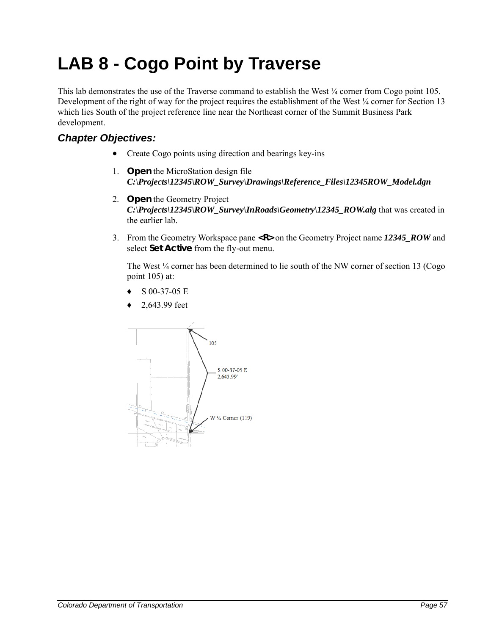## **LAB 8 - Cogo Point by Traverse**

This lab demonstrates the use of the Traverse command to establish the West  $\frac{1}{4}$  corner from Cogo point 105. Development of the right of way for the project requires the establishment of the West ¼ corner for Section 13 which lies South of the project reference line near the Northeast corner of the Summit Business Park development.

## *Chapter Objectives:*

- Create Cogo points using direction and bearings key-ins
- 1. **Open** the MicroStation design file *C:\Projects\12345\ROW\_Survey\Drawings\Reference\_Files\12345ROW\_Model.dgn*
- 2. **Open** the Geometry Project *C:\Projects\12345\ROW\_Survey\InRoads\Geometry\12345\_ROW.alg* that was created in the earlier lab.
- 3. From the Geometry Workspace pane **<R>** on the Geometry Project name *12345\_ROW* and select **Set Active** from the fly-out menu.

The West  $\frac{1}{4}$  corner has been determined to lie south of the NW corner of section 13 (Cogo point 105) at:

- ♦ S 00-37-05 E
- 2,643.99 feet

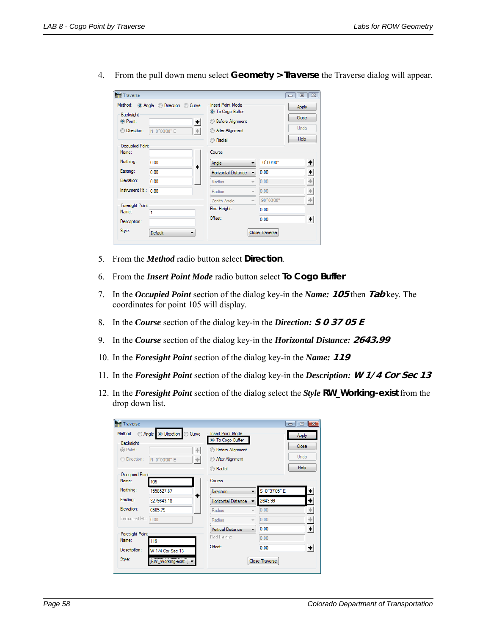4. From the pull down menu select **Geometry > Traverse** the Traverse dialog will appear.

| Traverse                 |                                     |                                          |                       | $\overline{\mathbb{Z}}$<br>  回<br>$\Box$ |  |
|--------------------------|-------------------------------------|------------------------------------------|-----------------------|------------------------------------------|--|
|                          | Method: @ Angle @ Direction @ Curve | <b>Insert Point Mode</b>                 | Apply                 |                                          |  |
| Backsight                |                                     | O To Cogo Buffer                         | Close                 |                                          |  |
| O Point:                 | $+$                                 | <b>Before Alignment</b>                  |                       |                                          |  |
| Direction:               | $\pm$<br>N 0^00'00" E               | <b>After Alignment</b>                   | Undo                  |                                          |  |
|                          |                                     | Radial<br>⋒                              |                       | <b>Help</b>                              |  |
| Occupied Point           |                                     |                                          |                       |                                          |  |
| Name:                    |                                     | Course                                   |                       |                                          |  |
| Northing:                | 0.00<br>$\ddot{\phantom{1}}$        | Angle<br>▼                               | 0^00'00"              | $\overline{\phantom{a}}$                 |  |
| Easting:                 | 0.00                                | Horizontal Distance                      | 0.00                  | $+$                                      |  |
| Elevation:               | 0.00                                | <b>Radius</b><br>$\overline{\mathbf{v}}$ | 0.00                  | $\pm$                                    |  |
| Instrument Ht.: 0.00     |                                     | Radius<br>$\overline{\phantom{a}}$       | 0.00                  | $\!+\!$                                  |  |
|                          |                                     | Zenith Angle<br>$\overline{\phantom{a}}$ | 90^00'00"             | $\!+\!$                                  |  |
| Foresight Point<br>Name: | 1                                   | Rod Height:                              | 0.00                  |                                          |  |
| Description:             |                                     | Offset:                                  | 0.00                  | $+$                                      |  |
| Style:                   | Default<br>▼                        |                                          | <b>Close Traverse</b> |                                          |  |
|                          |                                     |                                          |                       |                                          |  |

- 5. From the *Method* radio button select **Direction**.
- 6. From the *Insert Point Mode* radio button select **To Cogo Buffer**
- 7. In the *Occupied Point* section of the dialog key-in the *Name:* **105** then **Tab** key. The coordinates for point 105 will display.
- 8. In the *Course* section of the dialog key-in the *Direction:* **S 0 37 05 E**
- 9. In the *Course* section of the dialog key-in the *Horizontal Distance:* **2643.99**
- 10. In the *Foresight Point* section of the dialog key-in the *Name:* **119**
- 11. In the *Foresight Point* section of the dialog key-in the *Description:* **W 1/4 Cor Sec 13**
- 12. In the *Foresight Point* section of the dialog select the *Style* **RW\_Working-exist** from the drop down list.

| Traverse                           |                  |                          |                            |                          |                           | $\Box$<br>o l               |  |
|------------------------------------|------------------|--------------------------|----------------------------|--------------------------|---------------------------|-----------------------------|--|
| Angle © Direction Curve<br>Method: |                  | <b>Insert Point Mode</b> |                            |                          | Apply                     |                             |  |
| Backsight                          |                  |                          | O To Cogo Buffer           |                          |                           | Close                       |  |
| © Point:                           |                  | $\left. +\right\vert$    | <b>Before Alignment</b>    |                          |                           |                             |  |
| Direction:                         | N 0^00'00" E     | $+$                      | After Alignment            |                          |                           | Undo                        |  |
|                                    |                  |                          | Radial                     |                          |                           | <b>Help</b>                 |  |
| Occupied Point                     |                  |                          |                            |                          |                           |                             |  |
| Name:                              | 105              |                          | Course                     |                          |                           |                             |  |
| Northing:                          | 1558527.87       | $+$                      | <b>Direction</b>           |                          | S 0 <sup>^</sup> 37'05" E | $^\mathrm{+}$               |  |
| Easting:                           | 3279643 18       |                          | <b>Horizontal Distance</b> | ÷                        | 2643.99                   | $\ddot{}$                   |  |
| Flevation:                         | 658579           |                          | Radius                     | $\overline{\phantom{a}}$ | 0.00                      | $+\,$                       |  |
| Instrument Ht.: 0.00               |                  |                          | Radius                     | $\overline{\phantom{a}}$ | 0.00                      | $\stackrel{+}{\rightarrow}$ |  |
|                                    |                  |                          | <b>Vertical Distance</b>   | $\overline{\phantom{a}}$ | 0.00                      | $\ddot{}$                   |  |
| Foresight Point<br>Name:           | 119              |                          | Rod Height:                |                          | 0.00                      |                             |  |
| Description:                       | W 1/4 Cor Sec 13 |                          | Offset:                    |                          | 0.00                      | $+$                         |  |
|                                    |                  |                          |                            |                          |                           |                             |  |
| Style:                             | RW_Working-exist |                          |                            |                          | <b>Close Traverse</b>     |                             |  |
|                                    |                  |                          |                            |                          |                           |                             |  |